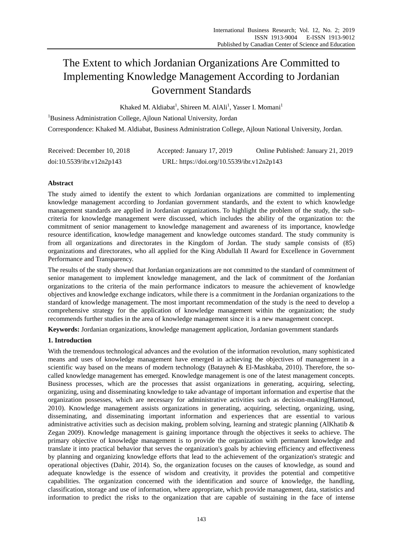# The Extent to which Jordanian Organizations Are Committed to Implementing Knowledge Management According to Jordanian Government Standards

Khaked M. Aldiabat<sup>1</sup>, Shireen M. AlAli<sup>1</sup>, Yasser I. Momani<sup>1</sup>

<sup>1</sup>Business Administration College, Ajloun National University, Jordan Correspondence: Khaked M. Aldiabat, Business Administration College, Ajloun National University, Jordan.

| Received: December 10, 2018 | Accepted: January 17, 2019                 | Online Published: January 21, 2019 |
|-----------------------------|--------------------------------------------|------------------------------------|
| doi:10.5539/ibr.v12n2p143   | URL: https://doi.org/10.5539/ibr.v12n2p143 |                                    |

# **Abstract**

The study aimed to identify the extent to which Jordanian organizations are committed to implementing knowledge management according to Jordanian government standards, and the extent to which knowledge management standards are applied in Jordanian organizations. To highlight the problem of the study, the subcriteria for knowledge management were discussed, which includes the ability of the organization to: the commitment of senior management to knowledge management and awareness of its importance, knowledge resource identification, knowledge management and knowledge outcomes standard. The study community is from all organizations and directorates in the Kingdom of Jordan. The study sample consists of (85) organizations and directorates, who all applied for the King Abdullah II Award for Excellence in Government Performance and Transparency.

The results of the study showed that Jordanian organizations are not committed to the standard of commitment of senior management to implement knowledge management, and the lack of commitment of the Jordanian organizations to the criteria of the main performance indicators to measure the achievement of knowledge objectives and knowledge exchange indicators, while there is a commitment in the Jordanian organizations to the standard of knowledge management. The most important recommendation of the study is the need to develop a comprehensive strategy for the application of knowledge management within the organization; the study recommends further studies in the area of knowledge management since it is a new management concept.

**Keywords:** Jordanian organizations, knowledge management application, Jordanian government standards

# **1. Introduction**

With the tremendous technological advances and the evolution of the information revolution, many sophisticated means and uses of knowledge management have emerged in achieving the objectives of management in a scientific way based on the means of modern technology (Batayneh & El-Mashkaba, 2010). Therefore, the socalled knowledge management has emerged. Knowledge management is one of the latest management concepts. Business processes, which are the processes that assist organizations in generating, acquiring, selecting, organizing, using and disseminating knowledge to take advantage of important information and expertise that the organization possesses, which are necessary for administrative activities such as decision-making(Hamoud, 2010). Knowledge management assists organizations in generating, acquiring, selecting, organizing, using, disseminating, and disseminating important information and experiences that are essential to various administrative activities such as decision making, problem solving, learning and strategic planning (AlKhatib  $\&$ Zegan 2009). Knowledge management is gaining importance through the objectives it seeks to achieve. The primary objective of knowledge management is to provide the organization with permanent knowledge and translate it into practical behavior that serves the organization's goals by achieving efficiency and effectiveness by planning and organizing knowledge efforts that lead to the achievement of the organization's strategic and operational objectives (Dahir, 2014). So, the organization focuses on the causes of knowledge, as sound and adequate knowledge is the essence of wisdom and creativity, it provides the potential and competitive capabilities. The organization concerned with the identification and source of knowledge, the handling, classification, storage and use of information, where appropriate, which provide management, data, statistics and information to predict the risks to the organization that are capable of sustaining in the face of intense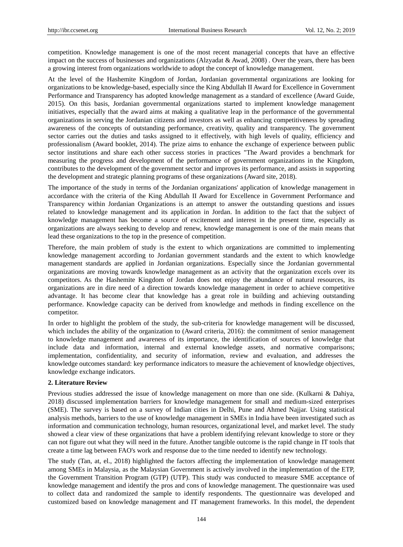competition. Knowledge management is one of the most recent managerial concepts that have an effective impact on the success of businesses and organizations (Alzyadat & Awad, 2008) . Over the years, there has been a growing interest from organizations worldwide to adopt the concept of knowledge management.

At the level of the Hashemite Kingdom of Jordan, Jordanian governmental organizations are looking for organizations to be knowledge-based, especially since the King Abdullah II Award for Excellence in Government Performance and Transparency has adopted knowledge management as a standard of excellence (Award Guide, 2015). On this basis, Jordanian governmental organizations started to implement knowledge management initiatives, especially that the award aims at making a qualitative leap in the performance of the governmental organizations in serving the Jordanian citizens and investors as well as enhancing competitiveness by spreading awareness of the concepts of outstanding performance, creativity, quality and transparency. The government sector carries out the duties and tasks assigned to it effectively, with high levels of quality, efficiency and professionalism (Award booklet, 2014). The prize aims to enhance the exchange of experience between public sector institutions and share each other success stories in practices "The Award provides a benchmark for measuring the progress and development of the performance of government organizations in the Kingdom, contributes to the development of the government sector and improves its performance, and assists in supporting the development and strategic planning programs of these organizations (Award site, 2018).

The importance of the study in terms of the Jordanian organizations' application of knowledge management in accordance with the criteria of the King Abdullah II Award for Excellence in Government Performance and Transparency within Jordanian Organizations is an attempt to answer the outstanding questions and issues related to knowledge management and its application in Jordan. In addition to the fact that the subject of knowledge management has become a source of excitement and interest in the present time, especially as organizations are always seeking to develop and renew, knowledge management is one of the main means that lead these organizations to the top in the presence of competition.

Therefore, the main problem of study is the extent to which organizations are committed to implementing knowledge management according to Jordanian government standards and the extent to which knowledge management standards are applied in Jordanian organizations. Especially since the Jordanian governmental organizations are moving towards knowledge management as an activity that the organization excels over its competitors. As the Hashemite Kingdom of Jordan does not enjoy the abundance of natural resources, its organizations are in dire need of a direction towards knowledge management in order to achieve competitive advantage. It has become clear that knowledge has a great role in building and achieving outstanding performance. Knowledge capacity can be derived from knowledge and methods in finding excellence on the competitor.

In order to highlight the problem of the study, the sub-criteria for knowledge management will be discussed, which includes the ability of the organization to (Award criteria, 2016): the commitment of senior management to knowledge management and awareness of its importance, the identification of sources of knowledge that include data and information, internal and external knowledge assets, and normative comparisons; implementation, confidentiality, and security of information, review and evaluation, and addresses the knowledge outcomes standard: key performance indicators to measure the achievement of knowledge objectives, knowledge exchange indicators.

#### **2. Literature Review**

Previous studies addressed the issue of knowledge management on more than one side. (Kulkarni & Dahiya, 2018) discussed implementation barriers for knowledge management for small and medium-sized enterprises (SME). The survey is based on a survey of Indian cities in Delhi, Pune and Ahmed Najjar. Using statistical analysis methods, barriers to the use of knowledge management in SMEs in India have been investigated such as information and communication technology, human resources, organizational level, and market level. The study showed a clear view of these organizations that have a problem identifying relevant knowledge to store or they can not figure out what they will need in the future. Another tangible outcome is the rapid change in IT tools that create a time lag between FAO's work and response due to the time needed to identify new technology.

The study (Tan, at, el., 2018) highlighted the factors affecting the implementation of knowledge management among SMEs in Malaysia, as the Malaysian Government is actively involved in the implementation of the ETP, the Government Transition Program (GTP) (UTP). This study was conducted to measure SME acceptance of knowledge management and identify the pros and cons of knowledge management. The questionnaire was used to collect data and randomized the sample to identify respondents. The questionnaire was developed and customized based on knowledge management and IT management frameworks. In this model, the dependent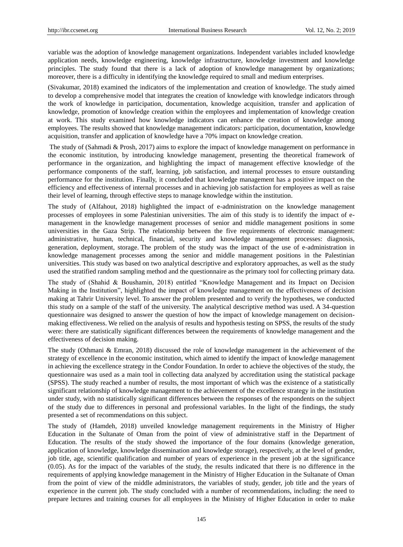variable was the adoption of knowledge management organizations. Independent variables included knowledge application needs, knowledge engineering, knowledge infrastructure, knowledge investment and knowledge principles. The study found that there is a lack of adoption of knowledge management by organizations; moreover, there is a difficulty in identifying the knowledge required to small and medium enterprises.

(Sivakumar, 2018) examined the indicators of the implementation and creation of knowledge. The study aimed to develop a comprehensive model that integrates the creation of knowledge with knowledge indicators through the work of knowledge in participation, documentation, knowledge acquisition, transfer and application of knowledge, promotion of knowledge creation within the employees and implementation of knowledge creation at work. This study examined how knowledge indicators can enhance the creation of knowledge among employees. The results showed that knowledge management indicators: participation, documentation, knowledge acquisition, transfer and application of knowledge have a 70% impact on knowledge creation.

The study of (Sahmadi & Prosh, 2017) aims to explore the impact of knowledge management on performance in the economic institution, by introducing knowledge management, presenting the theoretical framework of performance in the organization, and highlighting the impact of management effective knowledge of the performance components of the staff, learning, job satisfaction, and internal processes to ensure outstanding performance for the institution. Finally, it concluded that knowledge management has a positive impact on the efficiency and effectiveness of internal processes and in achieving job satisfaction for employees as well as raise their level of learning, through effective steps to manage knowledge within the institution.

The study of (Alfahout, 2018) highlighted the impact of e-administration on the knowledge management processes of employees in some Palestinian universities. The aim of this study is to identify the impact of emanagement in the knowledge management processes of senior and middle management positions in some universities in the Gaza Strip. The relationship between the five requirements of electronic management: administrative, human, technical, financial, security and knowledge management processes: diagnosis, generation, deployment, storage. The problem of the study was the impact of the use of e-administration in knowledge management processes among the senior and middle management positions in the Palestinian universities. This study was based on two analytical descriptive and exploratory approaches, as well as the study used the stratified random sampling method and the questionnaire as the primary tool for collecting primary data.

The study of (Shahid & Boushamin, 2018) entitled "Knowledge Management and its Impact on Decision Making in the Institution", highlighted the impact of knowledge management on the effectiveness of decision making at Tahrir University level. To answer the problem presented and to verify the hypotheses, we conducted this study on a sample of the staff of the university. The analytical descriptive method was used. A 34-question questionnaire was designed to answer the question of how the impact of knowledge management on decisionmaking effectiveness. We relied on the analysis of results and hypothesis testing on SPSS, the results of the study were: there are statistically significant differences between the requirements of knowledge management and the effectiveness of decision making.

The study (Othmani & Emran, 2018) discussed the role of knowledge management in the achievement of the strategy of excellence in the economic institution, which aimed to identify the impact of knowledge management in achieving the excellence strategy in the Condor Foundation. In order to achieve the objectives of the study, the questionnaire was used as a main tool in collecting data analyzed by accreditation using the statistical package (SPSS). The study reached a number of results, the most important of which was the existence of a statistically significant relationship of knowledge management to the achievement of the excellence strategy in the institution under study, with no statistically significant differences between the responses of the respondents on the subject of the study due to differences in personal and professional variables. In the light of the findings, the study presented a set of recommendations on this subject.

The study of (Hamdeh, 2018) unveiled knowledge management requirements in the Ministry of Higher Education in the Sultanate of Oman from the point of view of administrative staff in the Department of Education. The results of the study showed the importance of the four domains (knowledge generation, application of knowledge, knowledge dissemination and knowledge storage), respectively, at the level of gender, job title, age, scientific qualification and number of years of experience in the present job at the significance (0.05). As for the impact of the variables of the study, the results indicated that there is no difference in the requirements of applying knowledge management in the Ministry of Higher Education in the Sultanate of Oman from the point of view of the middle administrators, the variables of study, gender, job title and the years of experience in the current job. The study concluded with a number of recommendations, including: the need to prepare lectures and training courses for all employees in the Ministry of Higher Education in order to make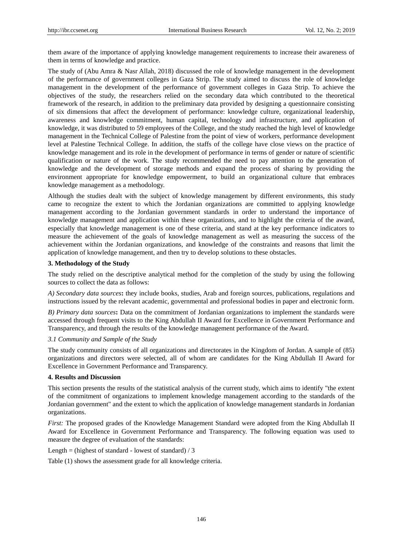them aware of the importance of applying knowledge management requirements to increase their awareness of them in terms of knowledge and practice.

The study of (Abu Amra & Nasr Allah, 2018) discussed the role of knowledge management in the development of the performance of government colleges in Gaza Strip. The study aimed to discuss the role of knowledge management in the development of the performance of government colleges in Gaza Strip. To achieve the objectives of the study, the researchers relied on the secondary data which contributed to the theoretical framework of the research, in addition to the preliminary data provided by designing a questionnaire consisting of six dimensions that affect the development of performance: knowledge culture, organizational leadership, awareness and knowledge commitment, human capital, technology and infrastructure, and application of knowledge, it was distributed to 59 employees of the College, and the study reached the high level of knowledge management in the Technical College of Palestine from the point of view of workers, performance development level at Palestine Technical College. In addition, the staffs of the college have close views on the practice of knowledge management and its role in the development of performance in terms of gender or nature of scientific qualification or nature of the work. The study recommended the need to pay attention to the generation of knowledge and the development of storage methods and expand the process of sharing by providing the environment appropriate for knowledge empowerment, to build an organizational culture that embraces knowledge management as a methodology.

Although the studies dealt with the subject of knowledge management by different environments, this study came to recognize the extent to which the Jordanian organizations are committed to applying knowledge management according to the Jordanian government standards in order to understand the importance of knowledge management and application within these organizations, and to highlight the criteria of the award, especially that knowledge management is one of these criteria, and stand at the key performance indicators to measure the achievement of the goals of knowledge management as well as measuring the success of the achievement within the Jordanian organizations, and knowledge of the constraints and reasons that limit the application of knowledge management, and then try to develop solutions to these obstacles.

## **3. Methodology of the Study**

The study relied on the descriptive analytical method for the completion of the study by using the following sources to collect the data as follows:

*A) Secondary data sources***:** they include books, studies, Arab and foreign sources, publications, regulations and instructions issued by the relevant academic, governmental and professional bodies in paper and electronic form.

*B) Primary data sources***:** Data on the commitment of Jordanian organizations to implement the standards were accessed through frequent visits to the King Abdullah II Award for Excellence in Government Performance and Transparency, and through the results of the knowledge management performance of the Award.

#### *3.1 Community and Sample of the Study*

The study community consists of all organizations and directorates in the Kingdom of Jordan. A sample of (85) organizations and directors were selected, all of whom are candidates for the King Abdullah II Award for Excellence in Government Performance and Transparency.

## **4. Results and Discussion**

This section presents the results of the statistical analysis of the current study, which aims to identify "the extent of the commitment of organizations to implement knowledge management according to the standards of the Jordanian government" and the extent to which the application of knowledge management standards in Jordanian organizations.

*First:* The proposed grades of the Knowledge Management Standard were adopted from the King Abdullah II Award for Excellence in Government Performance and Transparency. The following equation was used to measure the degree of evaluation of the standards:

#### Length = (highest of standard - lowest of standard)  $/3$

Table (1) shows the assessment grade for all knowledge criteria.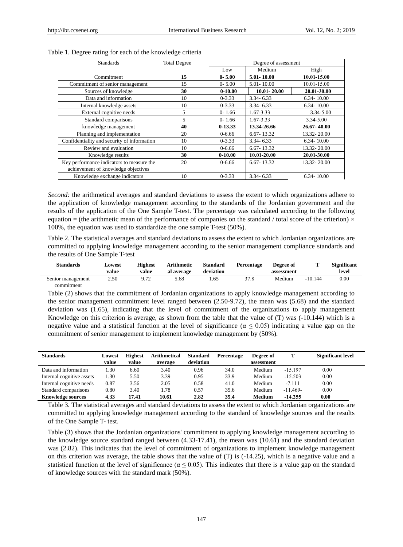| <b>Standards</b>                            | <b>Total Degree</b> |             | Degree of assessment |                |  |
|---------------------------------------------|---------------------|-------------|----------------------|----------------|--|
|                                             |                     | Low         | Medium               | High           |  |
| Commitment                                  | 15                  | $0 - 5.00$  | 5.01-10.00           | 10.01-15.00    |  |
| Commitment of senior management             | 15                  | $0 - 5.00$  | 5.01 - 10.00         | 10.01-15.00    |  |
| Sources of knowledge                        | 30                  | $0 - 10.00$ | $10.01 - 20.00$      | 20.01-30.00    |  |
| Data and information                        | 10                  | $0 - 3.33$  | $3.34 - 6.33$        | $6.34 - 10.00$ |  |
| Internal knowledge assets                   | 10                  | $0 - 3.33$  | $3.34 - 6.33$        | $6.34 - 10.00$ |  |
| External cognitive needs                    | 5                   | $0 - 1.66$  | 1.67-3.33            | 3.34-5.00      |  |
| Standard comparisons                        | 5                   | $0 - 1.66$  | 1.67-3.33            | $3.34 - 5.00$  |  |
| knowledge management                        | 40                  | $0-13.33$   | 13.34-26.66          | 26.67-40.00    |  |
| Planning and implementation                 | 20                  | $0 - 6.66$  | $6.67 - 13.32$       | 13.32-20.00    |  |
| Confidentiality and security of information | 10                  | $0 - 3.33$  | $3.34 - 6.33$        | $6.34 - 10.00$ |  |
| Review and evaluation                       | 10                  | $0 - 6.66$  | $6.67 - 13.32$       | 13.32-20.00    |  |
| Knowledge results                           | 30                  | $0-10.00$   | 10.01-20.00          | 20.01-30.00    |  |
| Key performance indicators to measure the   | 20                  | $0 - 6.66$  | $6.67 - 13.32$       | 13.32 - 20.00  |  |
| achievement of knowledge objectives         |                     |             |                      |                |  |
| Knowledge exchange indicators               | 10                  | $0 - 3.33$  | $3.34 - 6.33$        | $6.34 - 10.00$ |  |

#### Table 1. Degree rating for each of the knowledge criteria

*Second:* the arithmetical averages and standard deviations to assess the extent to which organizations adhere to the application of knowledge management according to the standards of the Jordanian government and the results of the application of the One Sample T-test. The percentage was calculated according to the following equation = (the arithmetic mean of the performance of companies on the standard / total score of the criterion)  $\times$ 100%, the equation was used to standardize the one sample T-test (50%).

Table 2. The statistical averages and standard deviations to assess the extent to which Jordanian organizations are committed to applying knowledge management according to the senior management compliance standards and the results of One Sample T-test

| <b>Standards</b>  | Lowest<br>value | <b>Highest</b><br>value | <b>Arithmetic</b><br>al average | <b>Standard</b><br>deviation | Percentage | Degree of<br>assessment |           | <b>Significant</b><br>level |
|-------------------|-----------------|-------------------------|---------------------------------|------------------------------|------------|-------------------------|-----------|-----------------------------|
| Senior management | 2.50            | 9.72                    | 5.68                            | . 65                         | 37.8       | Medium                  | $-10.144$ | $0.00\,$                    |
| commitment        |                 |                         |                                 |                              |            |                         |           |                             |

Table (2) shows that the commitment of Jordanian organizations to apply knowledge management according to the senior management commitment level ranged between (2.50-9.72), the mean was (5.68) and the standard deviation was (1.65), indicating that the level of commitment of the organizations to apply management Knowledge on this criterion is average, as shown from the table that the value of (T) was (-10.144) which is a negative value and a statistical function at the level of significance ( $\alpha \le 0.05$ ) indicating a value gap on the commitment of senior management to implement knowledge management by (50%).

| <b>Standards</b>          | Lowest | <b>Highest</b> | <b>Arithmetical</b> | <b>Standard</b> | Percentage | Degree of  | т          | <b>Significant level</b> |
|---------------------------|--------|----------------|---------------------|-----------------|------------|------------|------------|--------------------------|
|                           | value  | value          | average             | deviation       |            | assessment |            |                          |
| Data and information      | 1.30   | 6.60           | 3.40                | 0.96            | 34.0       | Medium     | $-15.197$  | 0.00                     |
| Internal cognitive assets | 1.30   | 5.50           | 3.39                | 0.95            | 33.9       | Medium     | $-15.503$  | 0.00                     |
| Internal cognitive needs  | 0.87   | 3.56           | 2.05                | 0.58            | 41.0       | Medium     | $-7.111$   | 0.00                     |
| Standard comparisons      | 0.80   | 3.40           | 1.78                | 0.57            | 35.6       | Medium     | $-11.469-$ | 0.00                     |
| <b>Knowledge sources</b>  | 4.33   | 17.41          | 10.61               | 2.82            | 35.4       | Medium     | $-14.255$  | 0.00                     |

Table 3. The statistical averages and standard deviations to assess the extent to which Jordanian organizations are committed to applying knowledge management according to the standard of knowledge sources and the results of the One Sample T- test.

Table (3) shows that the Jordanian organizations' commitment to applying knowledge management according to the knowledge source standard ranged between (4.33-17.41), the mean was (10.61) and the standard deviation was (2.82). This indicates that the level of commitment of organizations to implement knowledge management on this criterion was average, the table shows that the value of (T) is (-14.25), which is a negative value and a statistical function at the level of significance ( $\alpha \le 0.05$ ). This indicates that there is a value gap on the standard of knowledge sources with the standard mark (50%).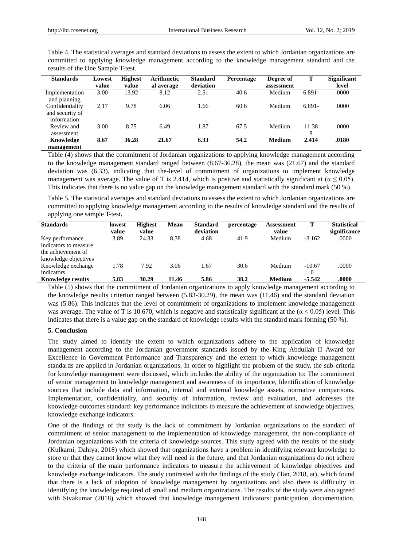| results of the One Sample T-test.                 |                 |                         |                          |                              |            |                         |            |                             |  |  |
|---------------------------------------------------|-----------------|-------------------------|--------------------------|------------------------------|------------|-------------------------|------------|-----------------------------|--|--|
| <b>Standards</b>                                  | Lowest<br>value | <b>Highest</b><br>value | Arithmetic<br>al average | <b>Standard</b><br>deviation | Percentage | Degree of<br>assessment | т          | <b>Significant</b><br>level |  |  |
| Implementation<br>and planning                    | 3.00            | 13.92                   | 8.12                     | 2.51                         | 40.6       | Medium                  | $6.891 -$  | .0000                       |  |  |
| Confidentiality<br>and security of<br>information | 2.17            | 9.78                    | 6.06                     | 1.66                         | 60.6       | Medium                  | $6.891 -$  | .0000                       |  |  |
| Review and<br>assessment                          | 3.00            | 8.75                    | 6.49                     | 1.87                         | 67.5       | Medium                  | 11.38<br>8 | .0000                       |  |  |
| Knowledge<br>management                           | 8.67            | 36.28                   | 21.67                    | 6.33                         | 54.2       | Medium                  | 2.414      | .0180                       |  |  |

Table 4. The statistical averages and standard deviations to assess the extent to which Jordanian organizations are committed to applying knowledge management according to the knowledge management standard and the

Table (4) shows that the commitment of Jordanian organizations to applying knowledge management according to the knowledge management standard ranged between (8.67-36.28), the mean was (21.67) and the standard deviation was (6.33), indicating that the-level of commitment of organizations to implement knowledge management was average. The value of T is 2.414, which is positive and statistically significant at ( $\alpha \le 0.05$ ). This indicates that there is no value gap on the knowledge management standard with the standard mark (50 %).

Table 5. The statistical averages and standard deviations to assess the extent to which Jordanian organizations are committed to applying knowledge management according to the results of knowledge standard and the results of applying one sample T-test**.**

| <b>Standards</b>                                                                       | lowest<br>value | <b>Highest</b><br>value | Mean  | <b>Standard</b><br>deviation | percentage | Assessment<br>value | Т                    | <b>Statistical</b><br>significance |
|----------------------------------------------------------------------------------------|-----------------|-------------------------|-------|------------------------------|------------|---------------------|----------------------|------------------------------------|
| Key performance<br>indicators to measure<br>the achievement of<br>knowledge objectives | 3.89            | 24.33                   | 8.38  | 4.68                         | 41.9       | Medium              | $-3.162$             | .0000                              |
| Knowledge exchange<br>indicators                                                       | 1.78            | 7.92                    | 3.06  | 1.67                         | 30.6       | Medium              | $-10.67$<br>$\theta$ | .0000                              |
| <b>Knowledge results</b>                                                               | 5.83            | 30.29                   | 11.46 | 5.86                         | 38.2       | <b>Medium</b>       | $-5.542$             | .0000                              |

Table (5) shows that the commitment of Jordanian organizations to apply knowledge management according to the knowledge results criterion ranged between (5.83-30.29), the mean was (11.46) and the standard deviation was (5.86). This indicates that the level of commitment of organizations to implement knowledge management was average. The value of T is 10.670, which is negative and statistically significant at the ( $\alpha \le 0.05$ ) level. This indicates that there is a value gap on the standard of knowledge results with the standard mark forming (50 %).

### **5. Conclusion**

The study aimed to identify the extent to which organizations adhere to the application of knowledge management according to the Jordanian government standards issued by the King Abdullah II Award for Excellence in Government Performance and Transparency and the extent to which knowledge management standards are applied in Jordanian organizations. In order to highlight the problem of the study, the sub-criteria for knowledge management were discussed, which includes the ability of the organization to: The commitment of senior management to knowledge management and awareness of its importance, Identification of knowledge sources that include data and information, internal and external knowledge assets, normative comparisons. Implementation, confidentiality, and security of information, review and evaluation, and addresses the knowledge outcomes standard: key performance indicators to measure the achievement of knowledge objectives, knowledge exchange indicators.

One of the findings of the study is the lack of commitment by Jordanian organizations to the standard of commitment of senior management to the implementation of knowledge management, the non-compliance of Jordanian organizations with the criteria of knowledge sources. This study agreed with the results of the study (Kulkarni, Dahiya, 2018) which showed that organizations have a problem in identifying relevant knowledge to store or that they cannot know what they will need in the future, and that Jordanian organizations do not adhere to the criteria of the main performance indicators to measure the achievement of knowledge objectives and knowledge exchange indicators. The study contrasted with the findings of the study (Tan, 2018, at), which found that there is a lack of adoption of knowledge management by organizations and also there is difficulty in identifying the knowledge required of small and medium organizations. The results of the study were also agreed with Sivakumar (2018) which showed that knowledge management indicators: participation, documentation,